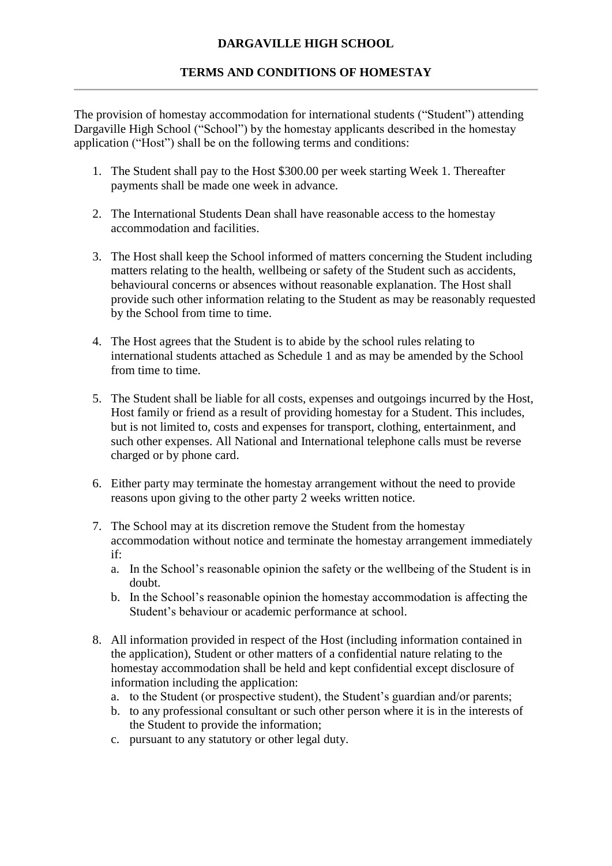## **TERMS AND CONDITIONS OF HOMESTAY**

The provision of homestay accommodation for international students ("Student") attending Dargaville High School ("School") by the homestay applicants described in the homestay application ("Host") shall be on the following terms and conditions:

- 1. The Student shall pay to the Host \$300.00 per week starting Week 1. Thereafter payments shall be made one week in advance.
- 2. The International Students Dean shall have reasonable access to the homestay accommodation and facilities.
- 3. The Host shall keep the School informed of matters concerning the Student including matters relating to the health, wellbeing or safety of the Student such as accidents, behavioural concerns or absences without reasonable explanation. The Host shall provide such other information relating to the Student as may be reasonably requested by the School from time to time.
- 4. The Host agrees that the Student is to abide by the school rules relating to international students attached as Schedule 1 and as may be amended by the School from time to time.
- 5. The Student shall be liable for all costs, expenses and outgoings incurred by the Host, Host family or friend as a result of providing homestay for a Student. This includes, but is not limited to, costs and expenses for transport, clothing, entertainment, and such other expenses. All National and International telephone calls must be reverse charged or by phone card.
- 6. Either party may terminate the homestay arrangement without the need to provide reasons upon giving to the other party 2 weeks written notice.
- 7. The School may at its discretion remove the Student from the homestay accommodation without notice and terminate the homestay arrangement immediately if:
	- a. In the School's reasonable opinion the safety or the wellbeing of the Student is in doubt.
	- b. In the School's reasonable opinion the homestay accommodation is affecting the Student's behaviour or academic performance at school.
- 8. All information provided in respect of the Host (including information contained in the application), Student or other matters of a confidential nature relating to the homestay accommodation shall be held and kept confidential except disclosure of information including the application:
	- a. to the Student (or prospective student), the Student's guardian and/or parents;
	- b. to any professional consultant or such other person where it is in the interests of the Student to provide the information;
	- c. pursuant to any statutory or other legal duty.